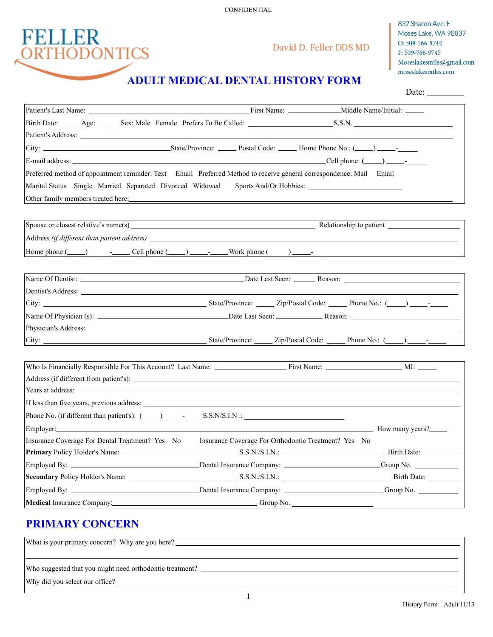**CONFIDENTIAL** 



## David D. Feller DDS MD

832 Sharon Ave. E Moses Lake, WA 98837 O: 509-766-9744 F: 509-766-9745  $\label{thm:con} {\bf Moesels a kes miles} @ {\bf gmail.com}$  $\label{thm:con} \text{moseslakesmiles.com}$ 

# **ADULT MEDICAL DENTAL HISTORY FORM**

Date:

| Patient's Last Name:                                                                                                                                                                                                           |                                                      |
|--------------------------------------------------------------------------------------------------------------------------------------------------------------------------------------------------------------------------------|------------------------------------------------------|
|                                                                                                                                                                                                                                |                                                      |
|                                                                                                                                                                                                                                |                                                      |
|                                                                                                                                                                                                                                |                                                      |
|                                                                                                                                                                                                                                |                                                      |
| Preferred method of appointment reminder: Text Email Preferred Method to receive general correspondence: Mail Email                                                                                                            |                                                      |
| Marital Status Single Married Separated Divorced Widowed                                                                                                                                                                       | Sports And/Or Hobbies:                               |
|                                                                                                                                                                                                                                |                                                      |
|                                                                                                                                                                                                                                |                                                      |
|                                                                                                                                                                                                                                |                                                      |
|                                                                                                                                                                                                                                |                                                      |
|                                                                                                                                                                                                                                |                                                      |
|                                                                                                                                                                                                                                |                                                      |
|                                                                                                                                                                                                                                |                                                      |
|                                                                                                                                                                                                                                |                                                      |
|                                                                                                                                                                                                                                |                                                      |
|                                                                                                                                                                                                                                |                                                      |
|                                                                                                                                                                                                                                |                                                      |
|                                                                                                                                                                                                                                |                                                      |
|                                                                                                                                                                                                                                |                                                      |
|                                                                                                                                                                                                                                |                                                      |
|                                                                                                                                                                                                                                |                                                      |
| Years at address: New York 2018 and 2018 and 2018 and 2018 and 2018 and 2018 and 2018 and 2018 and 2018 and 2018 and 2018 and 2018 and 2018 and 2018 and 2018 and 2018 and 2018 and 2018 and 2018 and 2018 and 2018 and 2018 a |                                                      |
|                                                                                                                                                                                                                                |                                                      |
|                                                                                                                                                                                                                                |                                                      |
| Employer: How many years? How many years?                                                                                                                                                                                      |                                                      |
| Insurance Coverage For Dental Treatment? Yes No                                                                                                                                                                                | Insurance Coverage For Orthodontic Treatment? Yes No |
|                                                                                                                                                                                                                                |                                                      |
|                                                                                                                                                                                                                                |                                                      |
|                                                                                                                                                                                                                                |                                                      |
|                                                                                                                                                                                                                                |                                                      |
| Medical Insurance Company: Campany Company Company Company Company Company Company Company Company Company Company Company Company Company Company Company Company Company Company Company Company Company Company Company Com |                                                      |

# **PRIMARY CONCERN**

| What is your primary concern? Why are you here?          |
|----------------------------------------------------------|
|                                                          |
| Who suggested that you might need orthodontic treatment? |
| Why did you select our office?                           |

1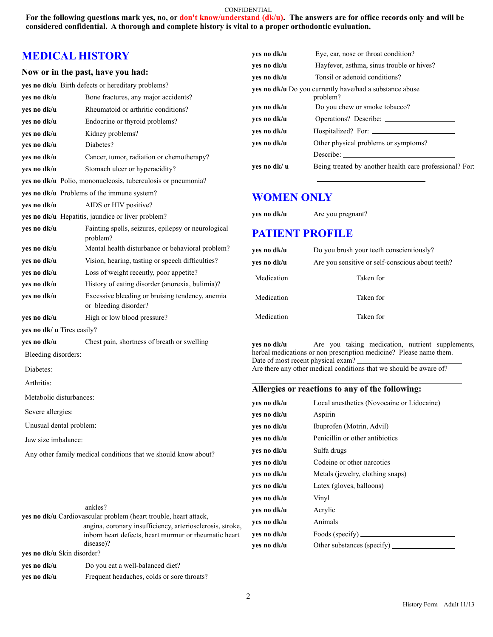#### CONFIDENTIAL

**For the following questions mark yes, no, or don't know/understand (dk/u). The answers are for office records only and will be considered confidential. A thorough and complete history is vital to a proper orthodontic evaluation.** 

## **MEDICAL HISTORY**

#### **Now or in the past, have you had:**

|  |  |  |  |  |  |  | yes no dk/u Birth defects or hereditary problems? |
|--|--|--|--|--|--|--|---------------------------------------------------|
|--|--|--|--|--|--|--|---------------------------------------------------|

| yes no dk/u                | Bone fractures, any major accidents?                                     |
|----------------------------|--------------------------------------------------------------------------|
| yes no dk/u                | Rheumatoid or arthritic conditions?                                      |
| yes no dk/u                | Endocrine or thyroid problems?                                           |
| yes no dk/u                | Kidney problems?                                                         |
| yes no dk/u                | Diabetes?                                                                |
| yes no dk/u                | Cancer, tumor, radiation or chemotherapy?                                |
| yes no dk/u                | Stomach ulcer or hyperacidity?                                           |
|                            | yes no dk/u Polio, mononucleosis, tuberculosis or pneumonia?             |
|                            | yes no dk/u Problems of the immune system?                               |
| yes no dk/u                | AIDS or HIV positive?                                                    |
|                            | yes no dk/u Hepatitis, jaundice or liver problem?                        |
| yes no dk/u                | Fainting spells, seizures, epilepsy or neurological<br>problem?          |
| yes no dk/u                | Mental health disturbance or behavioral problem?                         |
| yes no dk/u                | Vision, hearing, tasting or speech difficulties?                         |
| yes no dk/u                | Loss of weight recently, poor appetite?                                  |
| yes no dk/u                | History of eating disorder (anorexia, bulimia)?                          |
| yes no dk/u                | Excessive bleeding or bruising tendency, anemia<br>or bleeding disorder? |
| yes no dk/u                | High or low blood pressure?                                              |
| yes no dk/ u Tires easily? |                                                                          |
| yes no dk/u                | Chest pain, shortness of breath or swelling                              |
| Bleeding disorders:        |                                                                          |
| Diabetes:                  |                                                                          |
| Arthritis:                 |                                                                          |
| Metabolic disturbances:    |                                                                          |
| Severe allergies:          |                                                                          |
| Unusual dental problem:    |                                                                          |
|                            |                                                                          |

Jaw size imbalance:

Any other family medical conditions that we should know about?

| yes no dk/u  | Eye, ear, nose or throat condition?                                        |
|--------------|----------------------------------------------------------------------------|
| yes no dk/u  | Hayfever, asthma, sinus trouble or hives?                                  |
| yes no dk/u  | Tonsil or adenoid conditions?                                              |
|              | <b>yes no dk/u</b> Do you currently have/had a substance abuse<br>problem? |
| yes no dk/u  | Do you chew or smoke tobacco?                                              |
| yes no dk/u  | Operations? Describe:                                                      |
| yes no dk/u  |                                                                            |
| yes no dk/u  | Other physical problems or symptoms?                                       |
|              | Describe:                                                                  |
| ves no dk/ u | Being treated by another health care professional? For:                    |

## **WOMEN ONLY**

| Are you pregnant?<br>yes no dk/u |
|----------------------------------|
|----------------------------------|

### **PATIENT PROFILE**

| yes no dk/u | Do you brush your teeth conscientiously?         |  |  |  |
|-------------|--------------------------------------------------|--|--|--|
| yes no dk/u | Are you sensitive or self-conscious about teeth? |  |  |  |
| Medication  | Taken for                                        |  |  |  |
| Medication  | Taken for                                        |  |  |  |
| Medication  | Taken for                                        |  |  |  |

yes no dk/u <br>Are you taking medication, nutrient supplements, herbal medications or non prescription medicine? Please name them. Date of most recent physical exam?

Are there any other medical conditions that we should be aware of?

#### **Allergies or reactions to any of the following:**

| yes no dk/u | Local anesthetics (Novocaine or Lidocaine) |
|-------------|--------------------------------------------|
| yes no dk/u | Aspirin                                    |
| yes no dk/u | Ibuprofen (Motrin, Advil)                  |
| yes no dk/u | Penicillin or other antibiotics            |
| yes no dk/u | Sulfa drugs                                |
| yes no dk/u | Codeine or other narcotics                 |
| yes no dk/u | Metals (jewelry, clothing snaps)           |
| yes no dk/u | Latex (gloves, balloons)                   |
| yes no dk/u | Vinyl                                      |
| yes no dk/u | Acrylic                                    |
| yes no dk/u | Animals                                    |
| yes no dk/u | Foods (specify) $\_\_\_\_\_\_\_\_\$        |
| yes no dk/u | Other substances (specify)                 |

| ankles?                                                          |  |
|------------------------------------------------------------------|--|
| yes no dk/u Cardiovascular problem (heart trouble, heart attack, |  |

 angina, coronary insufficiency, arteriosclerosis, stroke, inborn heart defects, heart murmur or rheumatic heart disease)? **yes no dk/u** Skin disorder?

**yes no dk/u** Do you eat a well-balanced diet?

**yes no dk/u** Frequent headaches, colds or sore throats?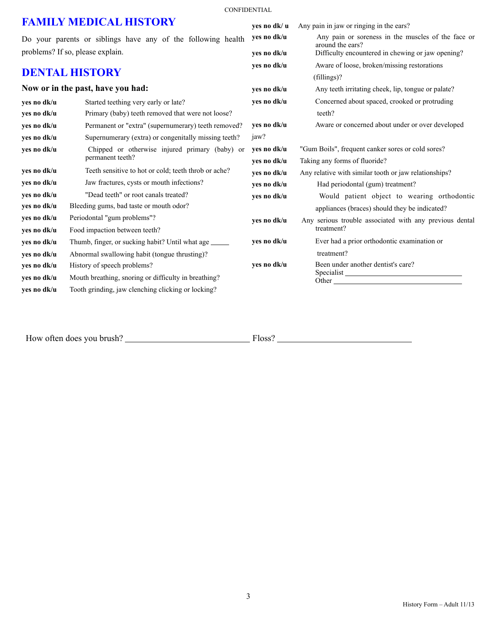# **FAMILY MEDICAL HISTORY**

**CONFIDENTIAL** 

| <b>FAMILY MEDICAL FINIORY</b>                                                                                                                                  |             | Any pain in jaw or ringing in the ears?                                                                                                                                                                                       |
|----------------------------------------------------------------------------------------------------------------------------------------------------------------|-------------|-------------------------------------------------------------------------------------------------------------------------------------------------------------------------------------------------------------------------------|
| Do your parents or siblings have any of the following health<br>problems? If so, please explain.<br><b>DENTAL HISTORY</b><br>Now or in the past, have you had: |             | Any pain or soreness in the muscles of the face or<br>around the ears?                                                                                                                                                        |
|                                                                                                                                                                |             | Difficulty encountered in chewing or jaw opening?                                                                                                                                                                             |
|                                                                                                                                                                |             | Aware of loose, broken/missing restorations                                                                                                                                                                                   |
|                                                                                                                                                                |             | $(fillings)$ ?                                                                                                                                                                                                                |
|                                                                                                                                                                |             | Any teeth irritating cheek, lip, tongue or palate?                                                                                                                                                                            |
| Started teething very early or late?                                                                                                                           | yes no dk/u | Concerned about spaced, crooked or protruding                                                                                                                                                                                 |
| Primary (baby) teeth removed that were not loose?                                                                                                              |             | teeth?                                                                                                                                                                                                                        |
| Permanent or "extra" (supernumerary) teeth removed?                                                                                                            | ves no dk/u | Aware or concerned about under or over developed                                                                                                                                                                              |
| Supernumerary (extra) or congenitally missing teeth?                                                                                                           | jaw?        |                                                                                                                                                                                                                               |
| Chipped or otherwise injured primary (baby) or<br>permanent teeth?                                                                                             | yes no dk/u | "Gum Boils", frequent canker sores or cold sores?                                                                                                                                                                             |
|                                                                                                                                                                | yes no dk/u | Taking any forms of fluoride?                                                                                                                                                                                                 |
| Teeth sensitive to hot or cold; teeth throb or ache?                                                                                                           | yes no dk/u | Any relative with similar tooth or jaw relationships?                                                                                                                                                                         |
| Jaw fractures, cysts or mouth infections?                                                                                                                      | yes no dk/u | Had periodontal (gum) treatment?                                                                                                                                                                                              |
| "Dead teeth" or root canals treated?                                                                                                                           | yes no dk/u | Would patient object to wearing orthodontic                                                                                                                                                                                   |
| Bleeding gums, bad taste or mouth odor?                                                                                                                        |             | appliances (braces) should they be indicated?                                                                                                                                                                                 |
| Periodontal "gum problems"?                                                                                                                                    | yes no dk/u | Any serious trouble associated with any previous dental                                                                                                                                                                       |
| Food impaction between teeth?                                                                                                                                  |             | treatment?                                                                                                                                                                                                                    |
| Thumb, finger, or sucking habit? Until what age ______                                                                                                         | yes no dk/u | Ever had a prior orthodontic examination or                                                                                                                                                                                   |
| Abnormal swallowing habit (tongue thrusting)?                                                                                                                  |             | treatment?                                                                                                                                                                                                                    |
| History of speech problems?                                                                                                                                    | yes no dk/u | Been under another dentist's care?                                                                                                                                                                                            |
| Mouth breathing, snoring or difficulty in breathing?                                                                                                           |             | Other and the contract of the contract of the contract of the contract of the contract of the contract of the contract of the contract of the contract of the contract of the contract of the contract of the contract of the |
| Tooth grinding, jaw clenching clicking or locking?                                                                                                             |             |                                                                                                                                                                                                                               |
|                                                                                                                                                                |             | yes no dk/ u<br>ves no dk/u<br>yes no dk/u<br>yes no dk/u<br>yes no dk/u                                                                                                                                                      |

How often does you brush? Floss?